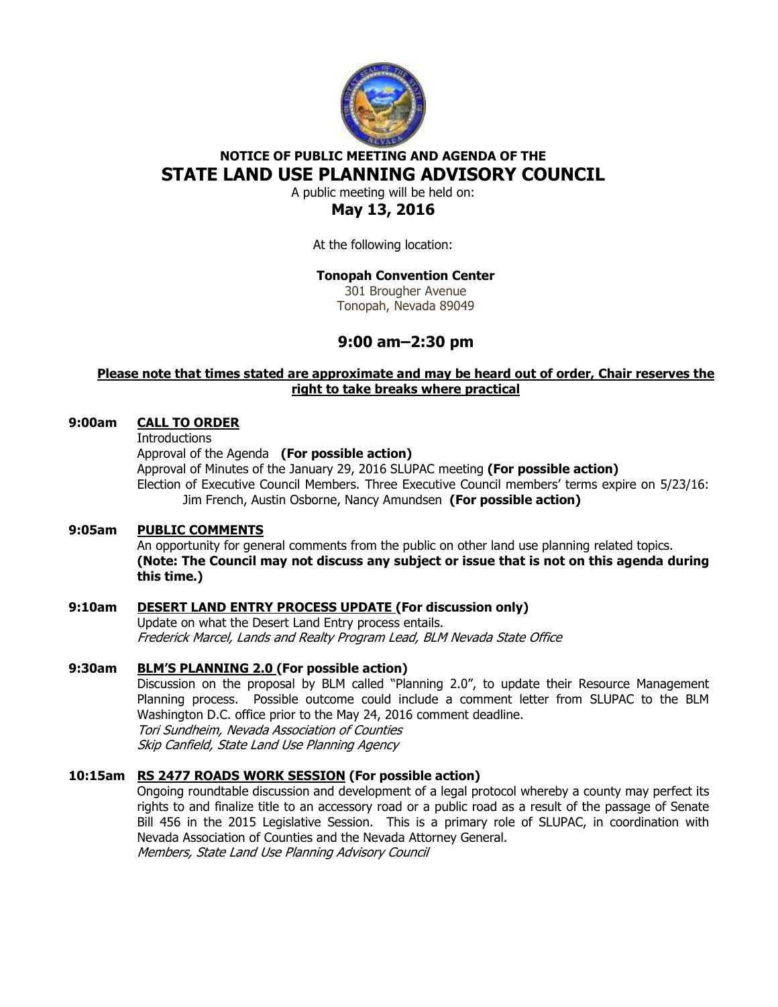

# **NOTICE OF PUBLIC MEETING AND AGENDA OF THE STATE LAND USE PLANNING ADVISORY COUNCIL**

A public meeting will be held on:

# **May 13, 2016**

At the following location:

# **Tonopah Convention Center**

301 Brougher Avenue Tonopah, Nevada 89049

# **9:00 am–2:30 pm**

## **Please note that times stated are approximate and may be heard out of order, Chair reserves the right to take breaks where practical**

# **9:00am CALL TO ORDER**

**Introductions** 

Approval of the Agenda **(For possible action)**

Approval of Minutes of the January 29, 2016 SLUPAC meeting **(For possible action)**  Election of Executive Council Members. Three Executive Council members' terms expire on 5/23/16: Jim French, Austin Osborne, Nancy Amundsen **(For possible action)** 

### **9:05am PUBLIC COMMENTS**

An opportunity for general comments from the public on other land use planning related topics. **(Note: The Council may not discuss any subject or issue that is not on this agenda during this time.)** 

# **9:10am DESERT LAND ENTRY PROCESS UPDATE (For discussion only)**

Update on what the Desert Land Entry process entails. Frederick Marcel, Lands and Realty Program Lead, BLM Nevada State Office

# **9:30am BLM'S PLANNING 2.0 (For possible action)**

Discussion on the proposal by BLM called "Planning 2.0", to update their Resource Management Planning process. Possible outcome could include a comment letter from SLUPAC to the BLM Washington D.C. office prior to the May 24, 2016 comment deadline. Tori Sundheim, Nevada Association of Counties Skip Canfield, State Land Use Planning Agency

### **10:15am RS 2477 ROADS WORK SESSION (For possible action)**

 Ongoing roundtable discussion and development of a legal protocol whereby a county may perfect its rights to and finalize title to an accessory road or a public road as a result of the passage of Senate Bill 456 in the 2015 Legislative Session. This is a primary role of SLUPAC, in coordination with Nevada Association of Counties and the Nevada Attorney General. Members, State Land Use Planning Advisory Council